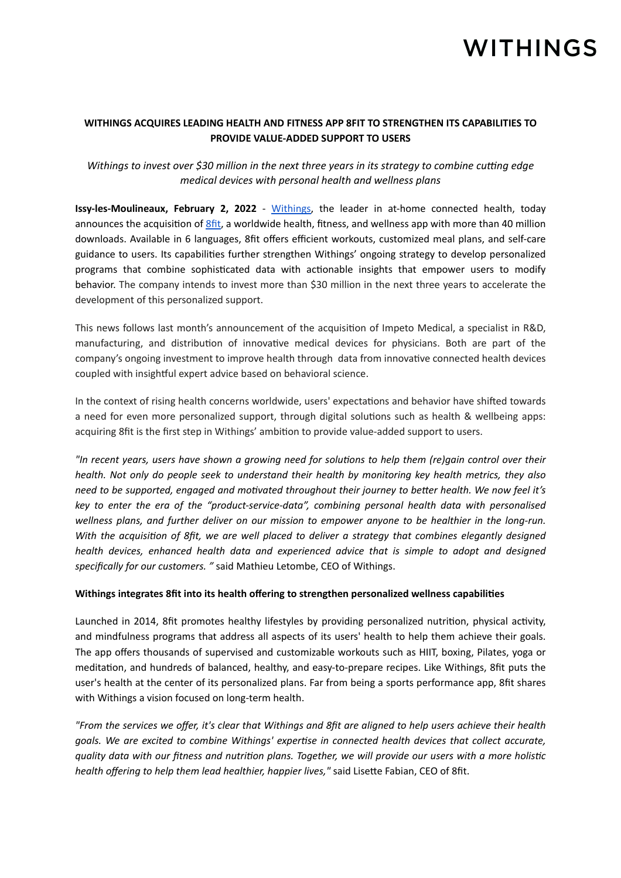# **WITHINGS**

### **WITHINGS ACQUIRES LEADING HEALTH AND FITNESS APP 8FIT TO STRENGTHEN ITS CAPABILITIES TO PROVIDE VALUE-ADDED SUPPORT TO USERS**

## *Withings to invest over \$30 million in the next three years in its strategy to combine cutting edge medical devices with personal health and wellness plans*

**Issy-les-Moulineaux, February 2, 2022** - [Withings,](http://www.withings.com) the leader in at-home connected health, today announces the acquisition of *Sfit*, a worldwide health, fitness, and wellness app with more than 40 million downloads. Available in 6 languages, 8fit offers efficient workouts, customized meal plans, and self-care guidance to users. Its capabilities further strengthen Withings' ongoing strategy to develop personalized programs that combine sophisticated data with actionable insights that empower users to modify behavior. The company intends to invest more than \$30 million in the next three years to accelerate the development of this personalized support.

This news follows last month's announcement of the acquisition of Impeto Medical, a specialist in R&D, manufacturing, and distribution of innovative medical devices for physicians. Both are part of the company's ongoing investment to improve health through data from innovative connected health devices coupled with insightful expert advice based on behavioral science.

In the context of rising health concerns worldwide, users' expectations and behavior have shifted towards a need for even more personalized support, through digital solutions such as health & wellbeing apps: acquiring 8fit is the first step in Withings' ambition to provide value-added support to users.

*"In recent years, users have shown a growing need for solutions to help them (re)gain control over their health. Not only do people seek to understand their health by monitoring key health metrics, they also need to be supported, engaged and motivated throughout their journey to better health. We now feel it's key to enter the era of the "product-service-data", combining personal health data with personalised wellness plans, and further deliver on our mission to empower anyone to be healthier in the long-run. With the acquisition of 8fit, we are well placed to deliver a strategy that combines elegantly designed health devices, enhanced health data and experienced advice that is simple to adopt and designed specifically for our customers. "* said Mathieu Letombe, CEO of Withings.

### **Withings integrates 8fit into its health offering to strengthen personalized wellness capabilities**

Launched in 2014, 8fit promotes healthy lifestyles by providing personalized nutrition, physical activity, and mindfulness programs that address all aspects of its users' health to help them achieve their goals. The app offers thousands of supervised and customizable workouts such as HIIT, boxing, Pilates, yoga or meditation, and hundreds of balanced, healthy, and easy-to-prepare recipes. Like Withings, 8fit puts the user's health at the center of its personalized plans. Far from being a sports performance app, 8fit shares with Withings a vision focused on long-term health.

*"From the services we offer, it's clear that Withings and 8fit are aligned to help users achieve their health goals. We are excited to combine Withings' expertise in connected health devices that collect accurate, quality data with our fitness and nutrition plans. Together, we will provide our users with a more holistic health offering to help them lead healthier, happier lives,"* said Lisette Fabian, CEO of 8fit.